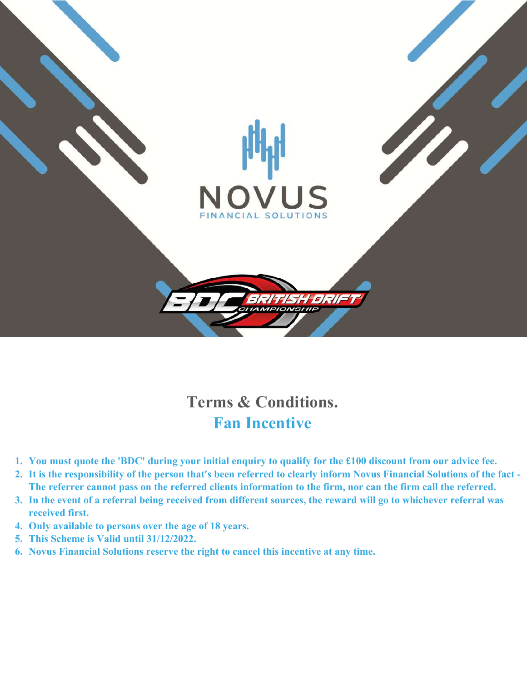

## **Terms & Conditions. Fan Incentive**

- **1. You must quote the 'BDC' during your initial enquiry to qualify for the £100 discount from our advice fee.**
- **2. It is the responsibility of the person that's been referred to clearly inform Novus Financial Solutions of the fact - The referrer cannot pass on the referred clients information to the firm, nor can the firm call the referred.**
- **3. In the event of a referral being received from different sources, the reward will go to whichever referral was received first.**
- **4. Only available to persons over the age of 18 years.**
- **5. This Scheme is Valid until 31/12/2022.**
- **6. Novus Financial Solutions reserve the right to cancel this incentive at any time.**